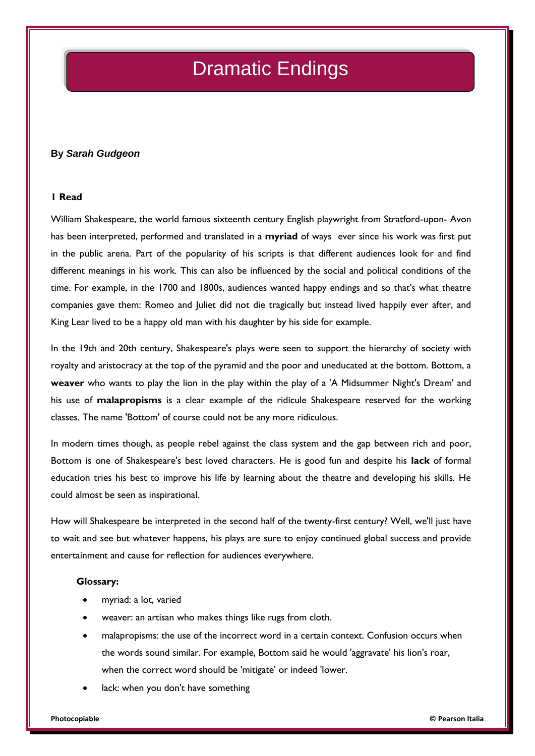# Dramatic Endings

## **By** *Sarah Gudgeon*

### **1 Read**

William Shakespeare, the world famous sixteenth century English playwright from Stratford-upon- Avon has been interpreted, performed and translated in a **myriad** of ways ever since his work was first put in the public arena. Part of the popularity of his scripts is that different audiences look for and find different meanings in his work. This can also be influenced by the social and political conditions of the time. For example, in the 1700 and 1800s, audiences wanted happy endings and so that's what theatre companies gave them: Romeo and Juliet did not die tragically but instead lived happily ever after, and King Lear lived to be a happy old man with his daughter by his side for example.

In the 19th and 20th century, Shakespeare's plays were seen to support the hierarchy of society with royalty and aristocracy at the top of the pyramid and the poor and uneducated at the bottom. Bottom, a **weaver** who wants to play the lion in the play within the play of a 'A Midsummer Night's Dream' and his use of **malapropisms** is a clear example of the ridicule Shakespeare reserved for the working classes. The name 'Bottom' of course could not be any more ridiculous.

In modern times though, as people rebel against the class system and the gap between rich and poor, Bottom is one of Shakespeare's best loved characters. He is good fun and despite his **lack** of formal education tries his best to improve his life by learning about the theatre and developing his skills. He could almost be seen as inspirational.

How will Shakespeare be interpreted in the second half of the twenty-first century? Well, we'll just have to wait and see but whatever happens, his plays are sure to enjoy continued global success and provide entertainment and cause for reflection for audiences everywhere.

#### **Glossary:**

- myriad: a lot, varied
- weaver: an artisan who makes things like rugs from cloth.
- malapropisms: the use of the incorrect word in a certain context. Confusion occurs when the words sound similar. For example, Bottom said he would 'aggravate' his lion's roar, when the correct word should be 'mitigate' or indeed 'lower.
- lack: when you don't have something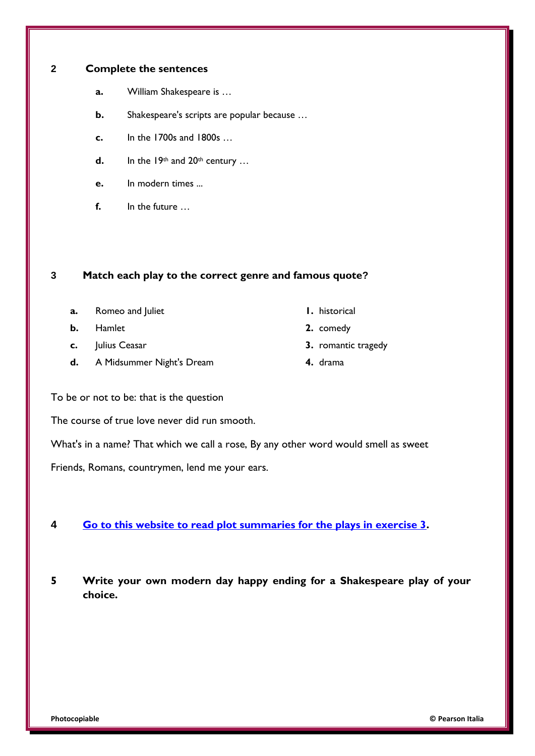## **2 Complete the sentences**

- **a.** William Shakespeare is …
- **b.** Shakespeare's scripts are popular because …
- **c.** In the 1700s and 1800s …
- **d.** In the  $19<sup>th</sup>$  and  $20<sup>th</sup>$  century ...
- **e.** In modern times ...
- **f.** In the future …

## **3 Match each play to the correct genre and famous quote?**

- **a.** Romeo and Juliet **1. 1.** historical
- **b.** Hamlet **2.** comedy
- 
- **d.** A Midsummer Night's Dream **4.** drama
- 
- 
- **c.** Julius Ceasar **3.** romantic tragedy
	-

To be or not to be: that is the question

The course of true love never did run smooth.

What's in a name? That which we call a rose, By any other word would smell as sweet

Friends, Romans, countrymen, lend me your ears.

## **4 [Go to this website to read plot summaries for the plays in exercise 3.](http://www.bbc.co.uk/drama/shakespeare/60secondshakespeare/themes_index.shtml)**

**5 Write your own modern day happy ending for a Shakespeare play of your choice.**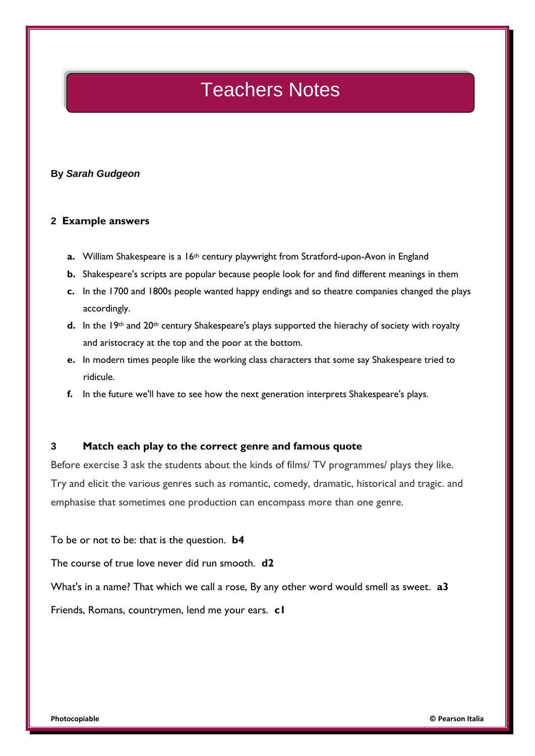## Teachers Notes

### **By** *Sarah Gudgeon*

### **2 Example answers**

- **a.** William Shakespeare is a 16<sup>th</sup> century playwright from Stratford-upon-Avon in England
- **b.** Shakespeare's scripts are popular because people look for and find different meanings in them
- **c.** In the 1700 and 1800s people wanted happy endings and so theatre companies changed the plays accordingly.
- **d.** In the 19<sup>th</sup> and 20<sup>th</sup> century Shakespeare's plays supported the hierachy of society with royalty and aristocracy at the top and the poor at the bottom.
- **e.** In modern times people like the working class characters that some say Shakespeare tried to ridicule.
- **f.** In the future we'll have to see how the next generation interprets Shakespeare's plays.

### **3 Match each play to the correct genre and famous quote**

Before exercise 3 ask the students about the kinds of films/ TV programmes/ plays they like. Try and elicit the various genres such as romantic, comedy, dramatic, historical and tragic. and emphasise that sometimes one production can encompass more than one genre.

To be or not to be: that is the question. **b4**

The course of true love never did run smooth. **d2**

What's in a name? That which we call a rose, By any other word would smell as sweet. **a3**

Friends, Romans, countrymen, lend me your ears. **c1**